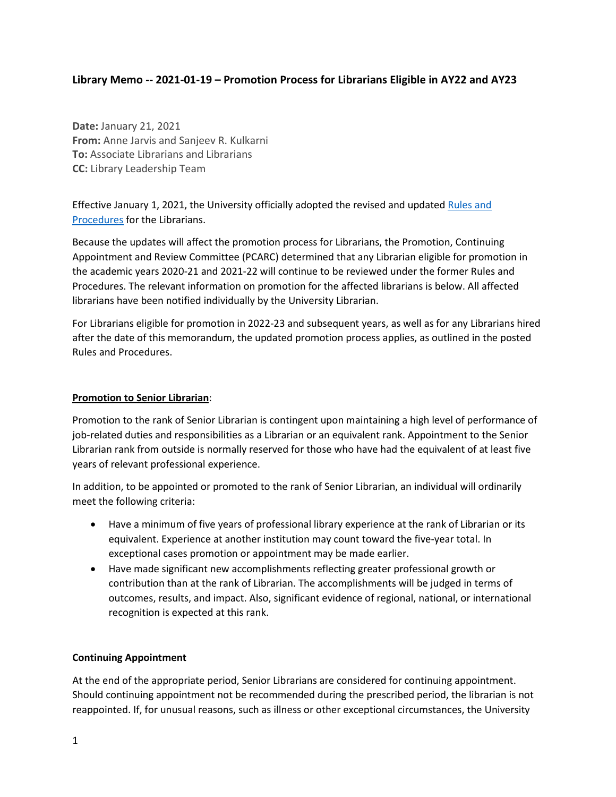# **Library Memo -- 2021-01-19 – Promotion Process for Librarians Eligible in AY22 and AY23**

**Date:** January 21, 2021 **From:** Anne Jarvis and Sanjeev R. Kulkarni **To:** Associate Librarians and Librarians **CC:** Library Leadership Team

Effective January 1, 2021, the University officially adopted the revised and updated [Rules and](https://dof.princeton.edu/rules-and-procedures)  [Procedures](https://dof.princeton.edu/rules-and-procedures) for the Librarians.

Because the updates will affect the promotion process for Librarians, the Promotion, Continuing Appointment and Review Committee (PCARC) determined that any Librarian eligible for promotion in the academic years 2020-21 and 2021-22 will continue to be reviewed under the former Rules and Procedures. The relevant information on promotion for the affected librarians is below. All affected librarians have been notified individually by the University Librarian.

For Librarians eligible for promotion in 2022-23 and subsequent years, as well as for any Librarians hired after the date of this memorandum, the updated promotion process applies, as outlined in the posted Rules and Procedures.

## **Promotion to Senior Librarian**:

Promotion to the rank of Senior Librarian is contingent upon maintaining a high level of performance of job-related duties and responsibilities as a Librarian or an equivalent rank. Appointment to the Senior Librarian rank from outside is normally reserved for those who have had the equivalent of at least five years of relevant professional experience.

In addition, to be appointed or promoted to the rank of Senior Librarian, an individual will ordinarily meet the following criteria:

- Have a minimum of five years of professional library experience at the rank of Librarian or its equivalent. Experience at another institution may count toward the five-year total. In exceptional cases promotion or appointment may be made earlier.
- Have made significant new accomplishments reflecting greater professional growth or contribution than at the rank of Librarian. The accomplishments will be judged in terms of outcomes, results, and impact. Also, significant evidence of regional, national, or international recognition is expected at this rank.

### **Continuing Appointment**

At the end of the appropriate period, Senior Librarians are considered for continuing appointment. Should continuing appointment not be recommended during the prescribed period, the librarian is not reappointed. If, for unusual reasons, such as illness or other exceptional circumstances, the University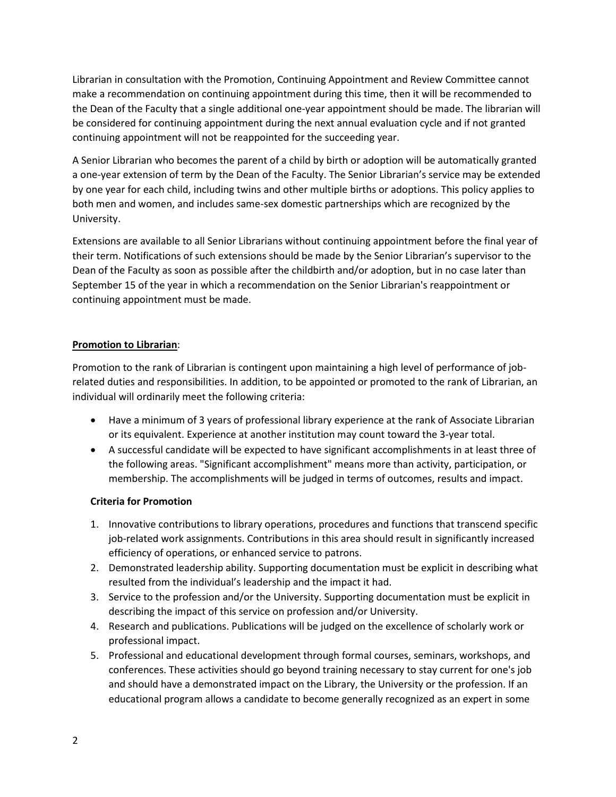Librarian in consultation with the Promotion, Continuing Appointment and Review Committee cannot make a recommendation on continuing appointment during this time, then it will be recommended to the Dean of the Faculty that a single additional one-year appointment should be made. The librarian will be considered for continuing appointment during the next annual evaluation cycle and if not granted continuing appointment will not be reappointed for the succeeding year.

A Senior Librarian who becomes the parent of a child by birth or adoption will be automatically granted a one-year extension of term by the Dean of the Faculty. The Senior Librarian's service may be extended by one year for each child, including twins and other multiple births or adoptions. This policy applies to both men and women, and includes same-sex domestic partnerships which are recognized by the University.

Extensions are available to all Senior Librarians without continuing appointment before the final year of their term. Notifications of such extensions should be made by the Senior Librarian's supervisor to the Dean of the Faculty as soon as possible after the childbirth and/or adoption, but in no case later than September 15 of the year in which a recommendation on the Senior Librarian's reappointment or continuing appointment must be made.

# **Promotion to Librarian**:

Promotion to the rank of Librarian is contingent upon maintaining a high level of performance of jobrelated duties and responsibilities. In addition, to be appointed or promoted to the rank of Librarian, an individual will ordinarily meet the following criteria:

- Have a minimum of 3 years of professional library experience at the rank of Associate Librarian or its equivalent. Experience at another institution may count toward the 3-year total.
- A successful candidate will be expected to have significant accomplishments in at least three of the following areas. "Significant accomplishment" means more than activity, participation, or membership. The accomplishments will be judged in terms of outcomes, results and impact.

### **Criteria for Promotion**

- 1. Innovative contributions to library operations, procedures and functions that transcend specific job-related work assignments. Contributions in this area should result in significantly increased efficiency of operations, or enhanced service to patrons.
- 2. Demonstrated leadership ability. Supporting documentation must be explicit in describing what resulted from the individual's leadership and the impact it had.
- 3. Service to the profession and/or the University. Supporting documentation must be explicit in describing the impact of this service on profession and/or University.
- 4. Research and publications. Publications will be judged on the excellence of scholarly work or professional impact.
- 5. Professional and educational development through formal courses, seminars, workshops, and conferences. These activities should go beyond training necessary to stay current for one's job and should have a demonstrated impact on the Library, the University or the profession. If an educational program allows a candidate to become generally recognized as an expert in some